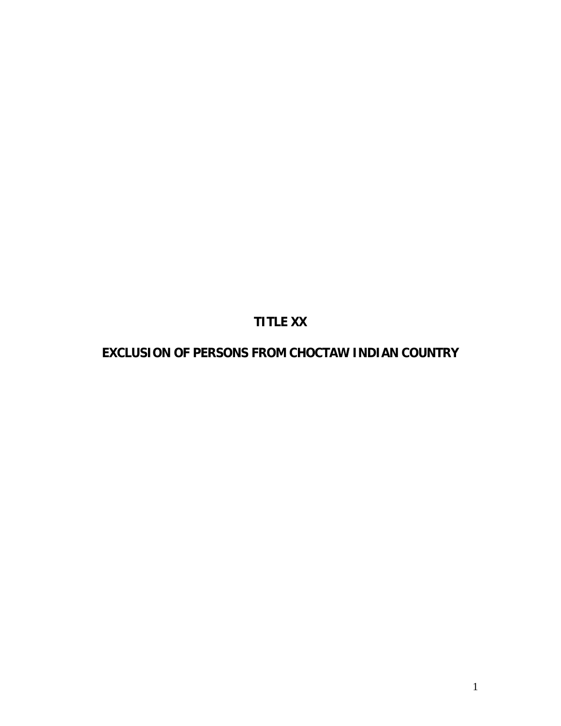# **TITLE XX**

# **EXCLUSION OF PERSONS FROM CHOCTAW INDIAN COUNTRY**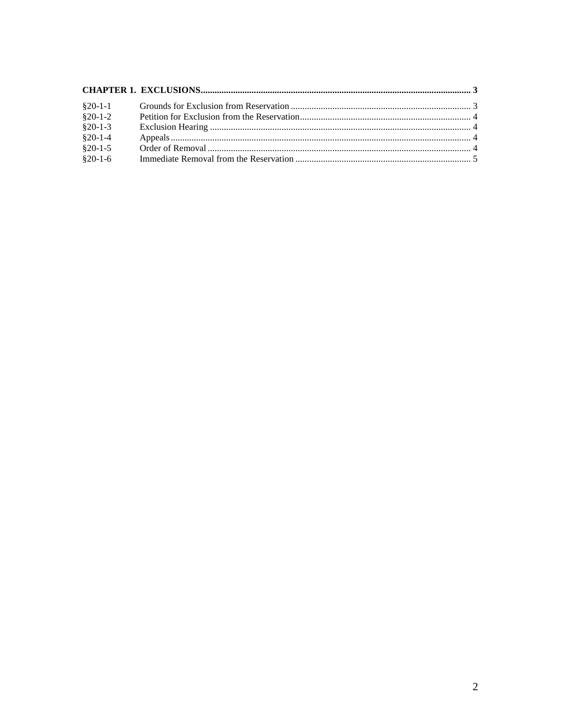| $§20-1-1$           |  |
|---------------------|--|
| $$20-1-2$           |  |
| $$20-1-3$           |  |
| $§20-1-4$           |  |
| $$20-1-5$           |  |
| $\frac{8}{20}$ -1-6 |  |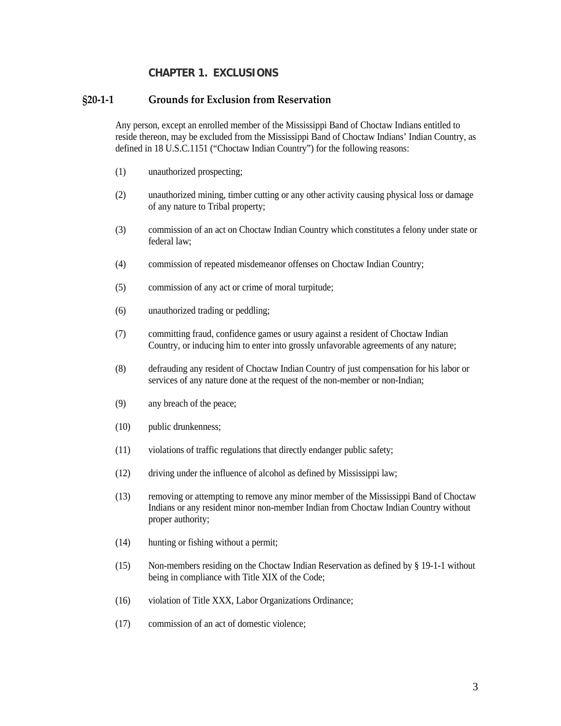### **CHAPTER 1. EXCLUSIONS**

#### <span id="page-2-1"></span><span id="page-2-0"></span>**§20-1-1 Grounds for Exclusion from Reservation**

Any person, except an enrolled member of the Mississippi Band of Choctaw Indians entitled to reside thereon, may be excluded from the Mississippi Band of Choctaw Indians' Indian Country, as defined in 18 U.S.C.1151 ("Choctaw Indian Country") for the following reasons:

- (1) unauthorized prospecting;
- (2) unauthorized mining, timber cutting or any other activity causing physical loss or damage of any nature to Tribal property;
- (3) commission of an act on Choctaw Indian Country which constitutes a felony under state or federal law;
- (4) commission of repeated misdemeanor offenses on Choctaw Indian Country;
- (5) commission of any act or crime of moral turpitude;
- (6) unauthorized trading or peddling;
- (7) committing fraud, confidence games or usury against a resident of Choctaw Indian Country, or inducing him to enter into grossly unfavorable agreements of any nature;
- (8) defrauding any resident of Choctaw Indian Country of just compensation for his labor or services of any nature done at the request of the non-member or non-Indian;
- (9) any breach of the peace;
- (10) public drunkenness;
- (11) violations of traffic regulations that directly endanger public safety;
- (12) driving under the influence of alcohol as defined by Mississippi law;
- (13) removing or attempting to remove any minor member of the Mississippi Band of Choctaw Indians or any resident minor non-member Indian from Choctaw Indian Country without proper authority;
- (14) hunting or fishing without a permit;
- (15) Non-members residing on the Choctaw Indian Reservation as defined by § 19-1-1 without being in compliance with Title XIX of the Code;
- (16) violation of Title XXX, Labor Organizations Ordinance;
- (17) commission of an act of domestic violence;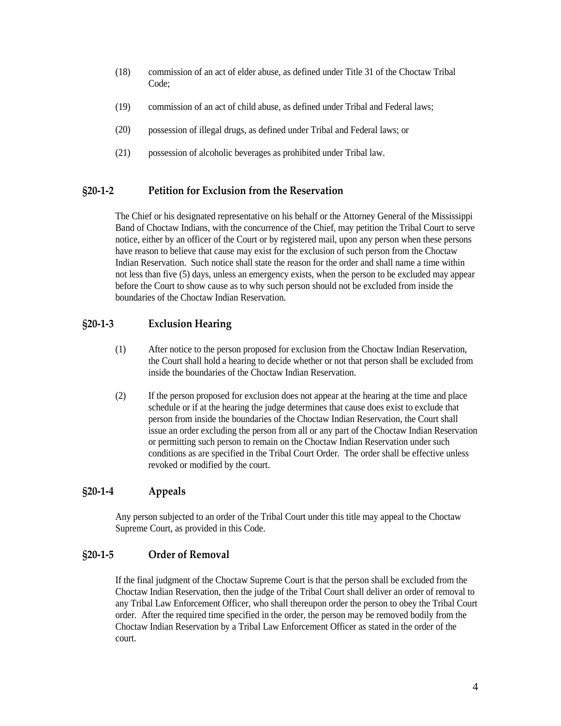- (18) commission of an act of elder abuse, as defined under Title 31 of the Choctaw Tribal Code;
- (19) commission of an act of child abuse, as defined under Tribal and Federal laws;
- (20) possession of illegal drugs, as defined under Tribal and Federal laws; or
- (21) possession of alcoholic beverages as prohibited under Tribal law.

### <span id="page-3-0"></span>**§20-1-2 Petition for Exclusion from the Reservation**

The Chief or his designated representative on his behalf or the Attorney General of the Mississippi Band of Choctaw Indians, with the concurrence of the Chief, may petition the Tribal Court to serve notice, either by an officer of the Court or by registered mail, upon any person when these persons have reason to believe that cause may exist for the exclusion of such person from the Choctaw Indian Reservation. Such notice shall state the reason for the order and shall name a time within not less than five (5) days, unless an emergency exists, when the person to be excluded may appear before the Court to show cause as to why such person should not be excluded from inside the boundaries of the Choctaw Indian Reservation.

# <span id="page-3-1"></span>**§20-1-3 Exclusion Hearing**

- (1) After notice to the person proposed for exclusion from the Choctaw Indian Reservation, the Court shall hold a hearing to decide whether or not that person shall be excluded from inside the boundaries of the Choctaw Indian Reservation.
- (2) If the person proposed for exclusion does not appear at the hearing at the time and place schedule or if at the hearing the judge determines that cause does exist to exclude that person from inside the boundaries of the Choctaw Indian Reservation, the Court shall issue an order excluding the person from all or any part of the Choctaw Indian Reservation or permitting such person to remain on the Choctaw Indian Reservation under such conditions as are specified in the Tribal Court Order. The order shall be effective unless revoked or modified by the court.

# <span id="page-3-2"></span>**§20-1-4 Appeals**

Any person subjected to an order of the Tribal Court under this title may appeal to the Choctaw Supreme Court, as provided in this Code.

# <span id="page-3-3"></span>**§20-1-5 Order of Removal**

If the final judgment of the Choctaw Supreme Court is that the person shall be excluded from the Choctaw Indian Reservation, then the judge of the Tribal Court shall deliver an order of removal to any Tribal Law Enforcement Officer, who shall thereupon order the person to obey the Tribal Court order. After the required time specified in the order, the person may be removed bodily from the Choctaw Indian Reservation by a Tribal Law Enforcement Officer as stated in the order of the court.